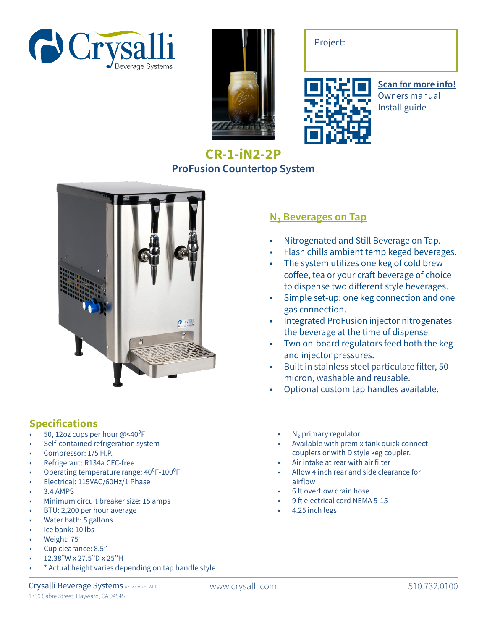







**Scan for more info!** Owners manual Install guide

## **CR-1-iN2-2P ProFusion Countertop System**



## Specifications

- 50, 12oz cups per hour @<40°F
- Self-contained refrigeration system
- Compressor: 1/5 H.P.
- Refrigerant: R134a CFC-free
- Operating temperature range: 40°F-100°F
- Electrical: 115VAC/60Hz/1 Phase
- 3.4 AMPS
- Minimum circuit breaker size: 15 amps
- BTU: 2,200 per hour average
- Water bath: 5 gallons
- Ice bank: 10 lbs
- Weight: 75
- Cup clearance: 8.5"
- 12.38"W x 27.5"D x 25"H
- \* Actual height varies depending on tap handle style

## **N<sub>2</sub> Beverages on Tap**

- Nitrogenated and Still Beverage on Tap.
- Flash chills ambient temp keged beverages.
- The system utilizes one keg of cold brew coffee, tea or your craft beverage of choice to dispense two different style beverages.
- Simple set-up: one keg connection and one gas connection.
- Integrated ProFusion injector nitrogenates the beverage at the time of dispense
- Two on-board regulators feed both the keg and injector pressures.
- Built in stainless steel particulate filter, 50 micron, washable and reusable.
- Optional custom tap handles available.
	- $N<sub>2</sub>$  primary regulator
	- Available with premix tank quick connect couplers or with D style keg coupler.
	- Air intake at rear with air filter
	- Allow 4 inch rear and side clearance for airflow
	- 6 ft overflow drain hose
	- 9 ft electrical cord NEMA 5-15
	- 4.25 inch legs